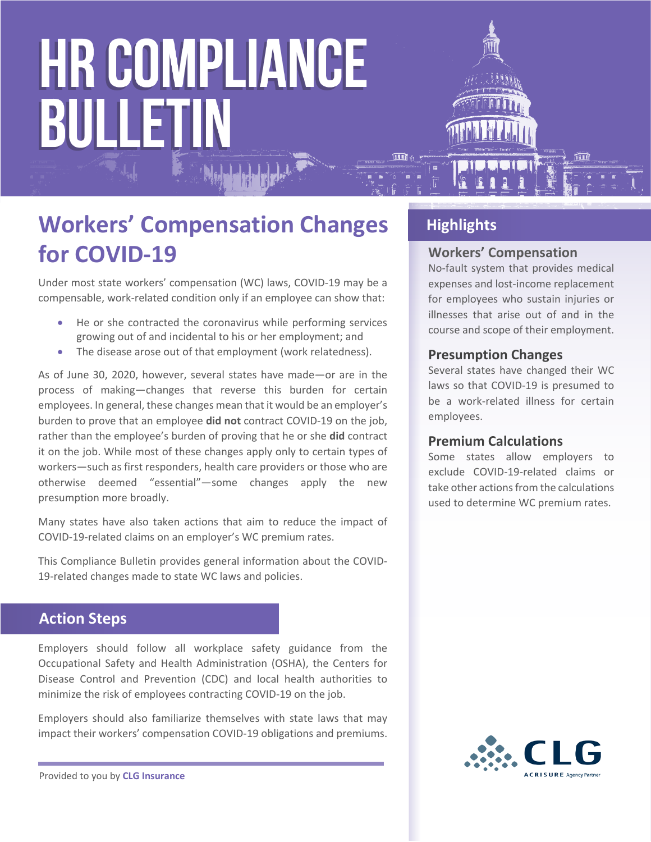# **HR COMPLIANCE** BULLETIN



Under most state workers' compensation (WC) laws, COVID-19 may be a compensable, work-related condition only if an employee can show that:

- He or she contracted the coronavirus while performing services growing out of and incidental to his or her employment; and
- The disease arose out of that employment (work relatedness).

As of June 30, 2020, however, several states have made—or are in the process of making—changes that reverse this burden for certain employees. In general, these changes mean that it would be an employer's burden to prove that an employee **did not** contract COVID-19 on the job, rather than the employee's burden of proving that he or she **did** contract it on the job. While most of these changes apply only to certain types of workers—such as first responders, health care providers or those who are otherwise deemed "essential"—some changes apply the new presumption more broadly.

Many states have also taken actions that aim to reduce the impact of COVID-19-related claims on an employer's WC premium rates.

This Compliance Bulletin provides general information about the COVID-19-related changes made to state WC laws and policies.

# **Action Steps**

Employers should follow all workplace safety guidance from the Occupational Safety and Health Administration (OSHA), the Centers for Disease Control and Prevention (CDC) and local health authorities to minimize the risk of employees contracting COVID-19 on the job.

Employers should also familiarize themselves with state laws that may impact their workers' compensation COVID-19 obligations and premiums.

# **Highlights**

#### **Workers' Compensation**

No-fault system that provides medical expenses and lost-income replacement for employees who sustain injuries or illnesses that arise out of and in the course and scope of their employment.

#### **Presumption Changes**

Several states have changed their WC laws so that COVID-19 is presumed to be a work-related illness for certain employees.

#### **Premium Calculations**

Some states allow employers to exclude COVID-19-related claims or take other actions from the calculations used to determine WC premium rates.



Provided to you by **CLG Insurance**